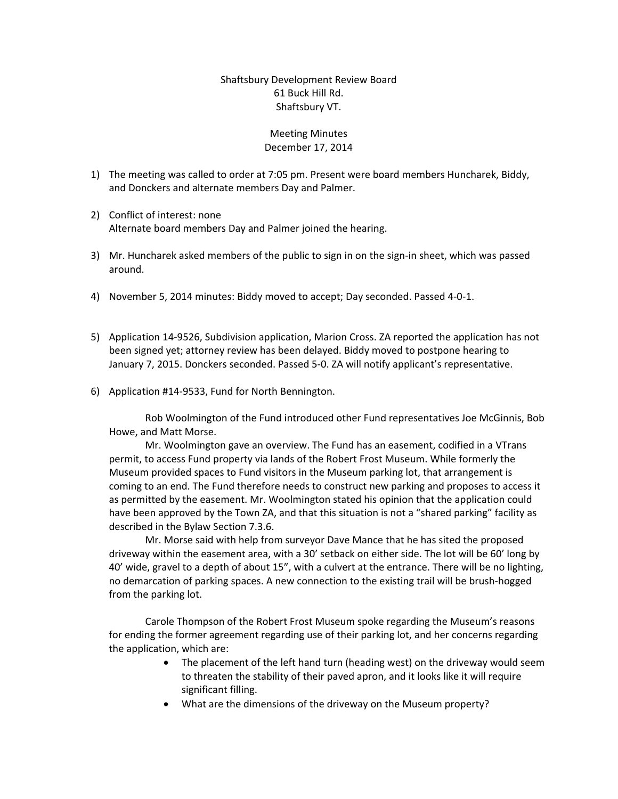## Shaftsbury Development Review Board 61 Buck Hill Rd. Shaftsbury VT.

## Meeting Minutes December 17, 2014

- 1) The meeting was called to order at 7:05 pm. Present were board members Huncharek, Biddy, and Donckers and alternate members Day and Palmer.
- 2) Conflict of interest: none Alternate board members Day and Palmer joined the hearing.
- 3) Mr. Huncharek asked members of the public to sign in on the sign-in sheet, which was passed around.
- 4) November 5, 2014 minutes: Biddy moved to accept; Day seconded. Passed 4‐0‐1.
- 5) Application 14-9526, Subdivision application, Marion Cross. ZA reported the application has not been signed yet; attorney review has been delayed. Biddy moved to postpone hearing to January 7, 2015. Donckers seconded. Passed 5‐0. ZA will notify applicant's representative.
- 6) Application #14‐9533, Fund for North Bennington.

Rob Woolmington of the Fund introduced other Fund representatives Joe McGinnis, Bob Howe, and Matt Morse.

Mr. Woolmington gave an overview. The Fund has an easement, codified in a VTrans permit, to access Fund property via lands of the Robert Frost Museum. While formerly the Museum provided spaces to Fund visitors in the Museum parking lot, that arrangement is coming to an end. The Fund therefore needs to construct new parking and proposes to access it as permitted by the easement. Mr. Woolmington stated his opinion that the application could have been approved by the Town ZA, and that this situation is not a "shared parking" facility as described in the Bylaw Section 7.3.6.

Mr. Morse said with help from surveyor Dave Mance that he has sited the proposed driveway within the easement area, with a 30' setback on either side. The lot will be 60' long by 40' wide, gravel to a depth of about 15", with a culvert at the entrance. There will be no lighting, no demarcation of parking spaces. A new connection to the existing trail will be brush‐hogged from the parking lot.

Carole Thompson of the Robert Frost Museum spoke regarding the Museum's reasons for ending the former agreement regarding use of their parking lot, and her concerns regarding the application, which are:

- The placement of the left hand turn (heading west) on the driveway would seem to threaten the stability of their paved apron, and it looks like it will require significant filling.
- What are the dimensions of the driveway on the Museum property?